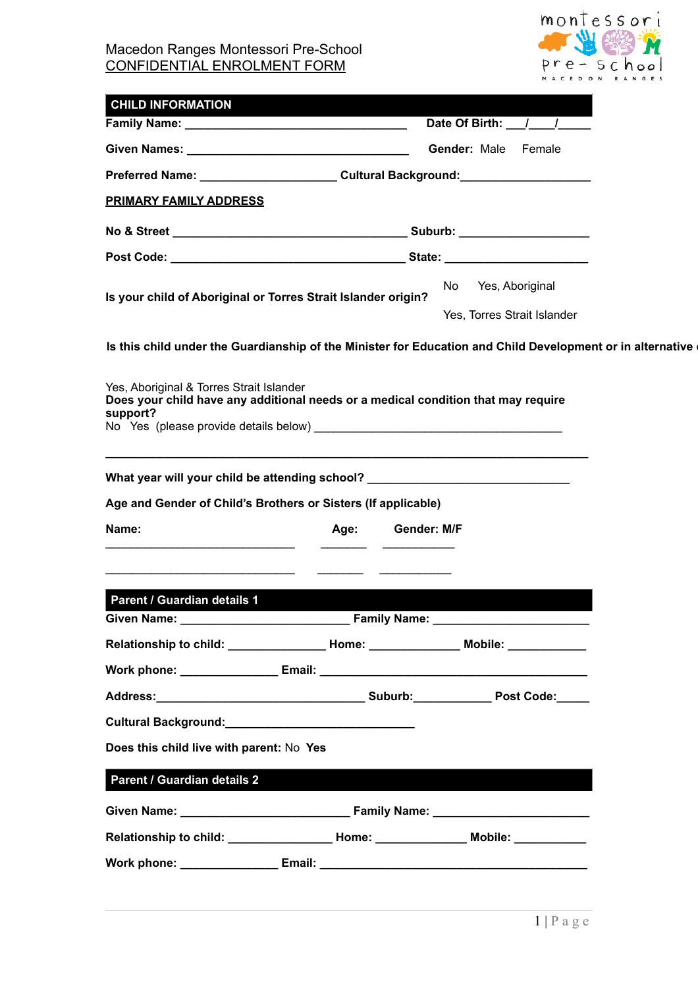

| <b>CHILD INFORMATION</b>                                                                                                                                                                                                       |                               |
|--------------------------------------------------------------------------------------------------------------------------------------------------------------------------------------------------------------------------------|-------------------------------|
|                                                                                                                                                                                                                                | Date Of Birth: \[ ___ / ___ / |
|                                                                                                                                                                                                                                | Gender: Male Female           |
| Preferred Name: _________________________Cultural Background:___________________                                                                                                                                               |                               |
| <b>PRIMARY FAMILY ADDRESS</b>                                                                                                                                                                                                  |                               |
|                                                                                                                                                                                                                                |                               |
|                                                                                                                                                                                                                                |                               |
|                                                                                                                                                                                                                                | No Yes, Aboriginal            |
| Is your child of Aboriginal or Torres Strait Islander origin?                                                                                                                                                                  | Yes, Torres Strait Islander   |
| Yes, Aboriginal & Torres Strait Islander<br>Does your child have any additional needs or a medical condition that may require<br>support?                                                                                      |                               |
| Age and Gender of Child's Brothers or Sisters (If applicable)<br>Name:<br>Age:                                                                                                                                                 | Gender: M/F                   |
| Parent / Guardian details 1<br><b>Example 20 Family Name:</b> 1997                                                                                                                                                             |                               |
| Given Name: __________<br>Relationship to child: ____________________Home: __________________Mobile: ____________                                                                                                              |                               |
|                                                                                                                                                                                                                                |                               |
|                                                                                                                                                                                                                                |                               |
| Cultural Background: National According Cultural According Cultural According Cultural According Cultural According Cultural According Cultural According Cultural According Cultural According Cultural According Cultural Ac |                               |
| Does this child live with parent: No Yes                                                                                                                                                                                       |                               |
|                                                                                                                                                                                                                                |                               |
| Parent / Guardian details 2                                                                                                                                                                                                    |                               |
|                                                                                                                                                                                                                                |                               |
| Relationship to child: ____________________Home: ______________________Mobile: ____________________                                                                                                                            |                               |
|                                                                                                                                                                                                                                |                               |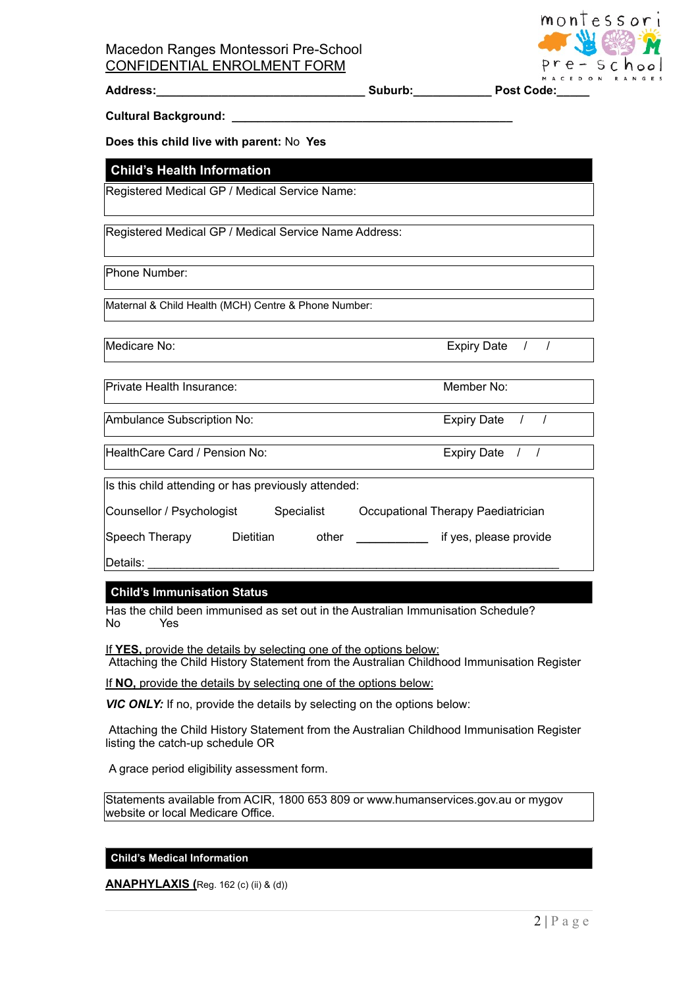

Address: etc. and the subset of the Suburb: the Post Code:

**Cultural Background: \_\_\_\_\_\_\_\_\_\_\_\_\_\_\_\_\_\_\_\_\_\_\_\_\_\_\_\_\_\_\_\_\_\_\_\_\_\_\_\_\_\_\_**

**Does this child live with parent:** No **Yes** 

### **Child's Health Information**

Registered Medical GP / Medical Service Name:

Registered Medical GP / Medical Service Name Address:

Phone Number:

Maternal & Child Health (MCH) Centre & Phone Number:

Medicare No: Expiry Date  $\sim$  / Medicare No:

Private Health Insurance: Member No: Member No:

Ambulance Subscription No: Expiry Date  $\left| \begin{array}{cc} I & I \end{array} \right|$ 

HealthCare Card / Pension No: Expiry Date / /

Is this child attending or has previously attended:

Counsellor / Psychologist Specialist Occupational Therapy Paediatrician

Speech Therapy Dietitian other **\_\_\_\_\_\_\_\_\_\_\_** if yes, please provide

Details: \_\_\_\_\_\_\_\_\_\_\_\_\_\_\_\_\_\_\_\_\_\_\_\_\_\_\_\_\_\_\_\_\_\_\_\_\_\_\_\_\_\_\_\_\_\_\_\_\_\_\_\_\_\_\_\_\_\_\_\_\_\_\_

### **Child's Immunisation Status**

Has the child been immunised as set out in the Australian Immunisation Schedule?<br>No Yes NoYes

If **YES,** provide the details by selecting one of the options below:

Attaching the Child History Statement from the Australian Childhood Immunisation Register

If **NO,** provide the details by selecting one of the options below:

**VIC ONLY:** If no, provide the details by selecting on the options below:

Attaching the Child History Statement from the Australian Childhood Immunisation Register listing the catch-up schedule OR

A grace period eligibility assessment form.

Statements available from ACIR, 1800 653 809 or www.humanservices.gov.au or mygov website or local Medicare Office.

### **Child's Medical Information**

**ANAPHYLAXIS (**Reg. 162 (c) (ii) & (d))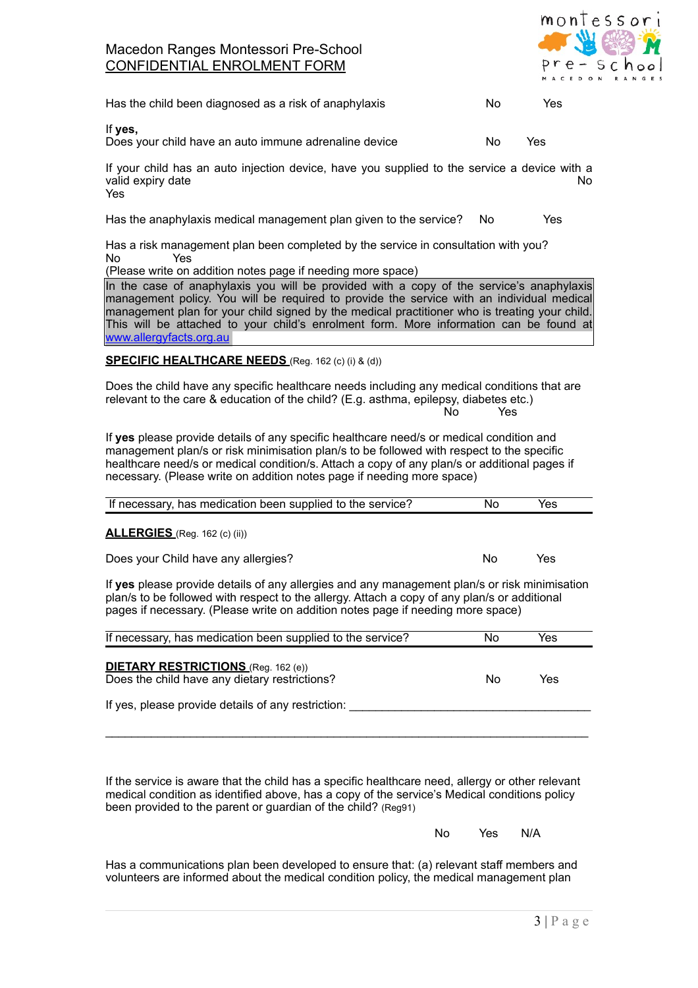

| Has the child been diagnosed as a risk of anaphylaxis | No. | Yes |
|-------------------------------------------------------|-----|-----|
|-------------------------------------------------------|-----|-----|

If **yes,** 

Does your child have an auto immune adrenaline device No Yes

If your child has an auto injection device, have you supplied to the service a device with a valid expiry date No Yes

Has the anaphylaxis medical management plan given to the service? NoYes

Has a risk management plan been completed by the service in consultation with you?<br>No Yes NoYes

(Please write on addition notes page if needing more space)

In the case of anaphylaxis you will be provided with a copy of the service's anaphylaxis management policy. You will be required to provide the service with an individual medical management plan for your child signed by the medical practitioner who is treating your child. This will be attached to your child's enrolment form. More information can be found at [www.allergyfacts.org.au](http://www.allergyfacts.org.au)

### **SPECIFIC HEALTHCARE NEEDS** (Reg. 162 (c) (i) & (d))

Does the child have any specific healthcare needs including any medical conditions that are relevant to the care & education of the child? (E.g. asthma, epilepsy, diabetes etc.) NoYes

If **yes** please provide details of any specific healthcare need/s or medical condition and management plan/s or risk minimisation plan/s to be followed with respect to the specific healthcare need/s or medical condition/s. Attach a copy of any plan/s or additional pages if necessary. (Please write on addition notes page if needing more space)

| If necessary, has medication been supplied to the service?                                                                                                                                                                       | No | Yes |  |
|----------------------------------------------------------------------------------------------------------------------------------------------------------------------------------------------------------------------------------|----|-----|--|
| <b>ALLERGIES</b> (Reg. 162 (c) (ii))                                                                                                                                                                                             |    |     |  |
| Does your Child have any allergies?                                                                                                                                                                                              | Nο | Yes |  |
| $\mathbf{r}$ , and the set of the set of the set of the set of the set of the set of the set of the set of the set of the set of the set of the set of the set of the set of the set of the set of the set of the set of the set |    |     |  |

If **yes** please provide details of any allergies and any management plan/s or risk minimisation plan/s to be followed with respect to the allergy. Attach a copy of any plan/s or additional pages if necessary. (Please write on addition notes page if needing more space)

| If necessary, has medication been supplied to the service?                                  | Nο | Yes |
|---------------------------------------------------------------------------------------------|----|-----|
| <b>DIETARY RESTRICTIONS</b> (Reg. 162 (e))<br>Does the child have any dietary restrictions? | N٥ | Yes |
| If yes, please provide details of any restriction:                                          |    |     |
|                                                                                             |    |     |

 $\mathcal{L}_\text{max}$  , and the set of the set of the set of the set of the set of the set of the set of the set of the set of the set of the set of the set of the set of the set of the set of the set of the set of the set of the

If the service is aware that the child has a specific healthcare need, allergy or other relevant medical condition as identified above, has a copy of the service's Medical conditions policy been provided to the parent or guardian of the child? (Reg91)

NoYesN/A

Has a communications plan been developed to ensure that: (a) relevant staff members and volunteers are informed about the medical condition policy, the medical management plan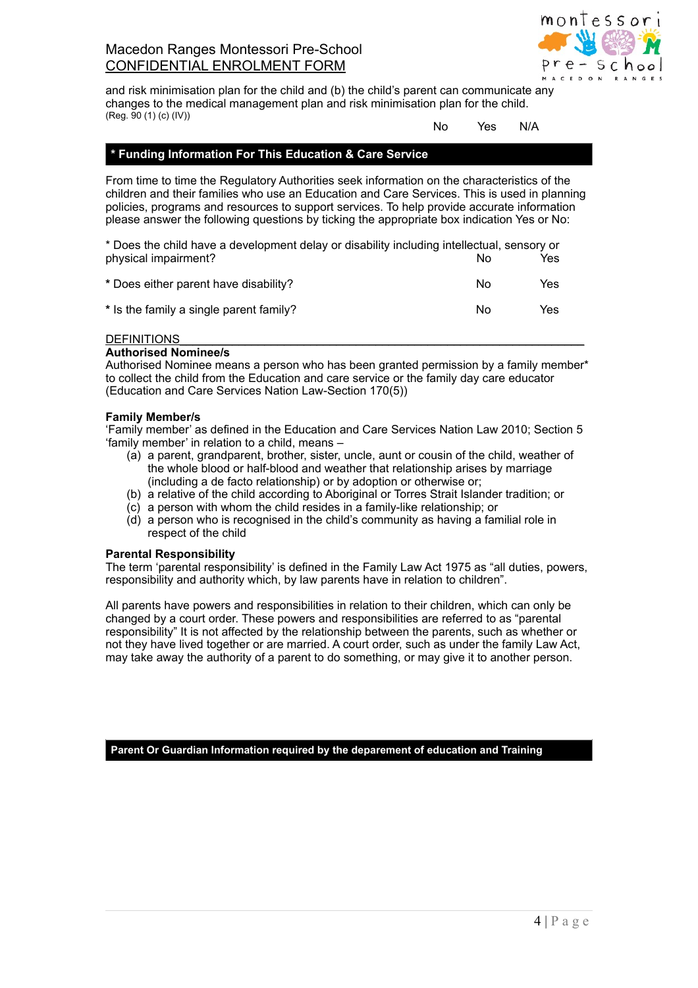

and risk minimisation plan for the child and (b) the child's parent can communicate any changes to the medical management plan and risk minimisation plan for the child. (Reg. 90 (1) (c) (IV))

#### NoYesN/A

### **\* Funding Information For This Education & Care Service**

From time to time the Regulatory Authorities seek information on the characteristics of the children and their families who use an Education and Care Services. This is used in planning policies, programs and resources to support services. To help provide accurate information please answer the following questions by ticking the appropriate box indication Yes or No:

\* Does the child have a development delay or disability including intellectual, sensory or physical impairment? No

| * Does either parent have disability?   | Nο | Yes |
|-----------------------------------------|----|-----|
| * Is the family a single parent family? | Nο | Yes |

#### DEFINITIONS

#### **Authorised Nominee/s**

Authorised Nominee means a person who has been granted permission by a family member\* to collect the child from the Education and care service or the family day care educator (Education and Care Services Nation Law-Section 170(5))

#### **Family Member/s**

'Family member' as defined in the Education and Care Services Nation Law 2010; Section 5 'family member' in relation to a child, means –

- (a) a parent, grandparent, brother, sister, uncle, aunt or cousin of the child, weather of the whole blood or half-blood and weather that relationship arises by marriage (including a de facto relationship) or by adoption or otherwise or;
- (b) a relative of the child according to Aboriginal or Torres Strait Islander tradition; or
- (c) a person with whom the child resides in a family-like relationship; or
- (d) a person who is recognised in the child's community as having a familial role in respect of the child

#### **Parental Responsibility**

The term 'parental responsibility' is defined in the Family Law Act 1975 as "all duties, powers, responsibility and authority which, by law parents have in relation to children".

All parents have powers and responsibilities in relation to their children, which can only be changed by a court order. These powers and responsibilities are referred to as "parental responsibility" It is not affected by the relationship between the parents, such as whether or not they have lived together or are married. A court order, such as under the family Law Act, may take away the authority of a parent to do something, or may give it to another person.

**Parent Or Guardian Information required by the deparement of education and Training**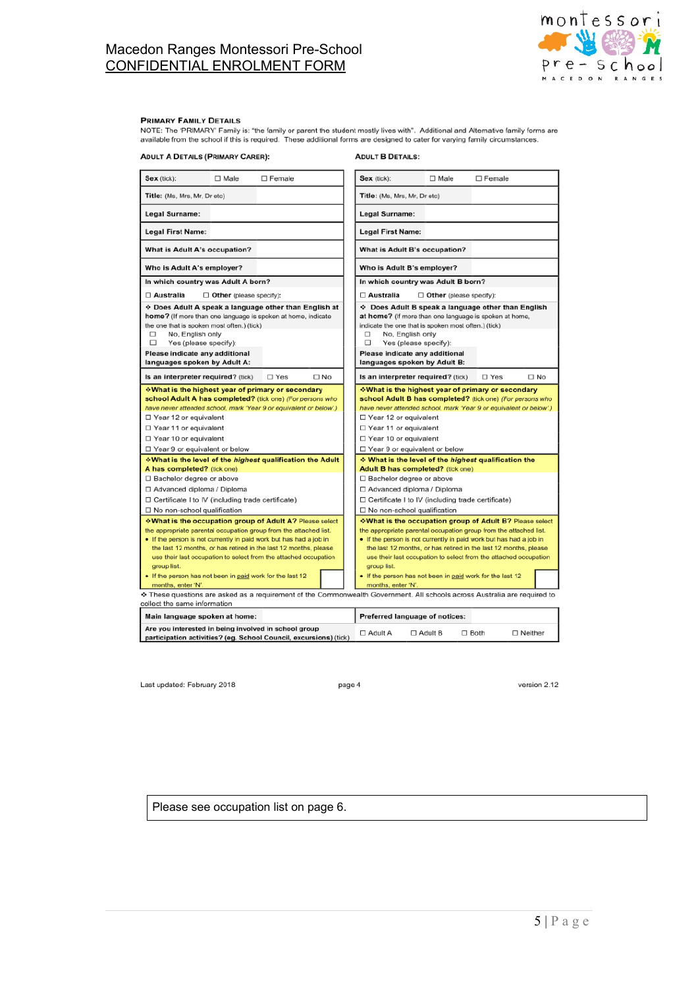

#### **PRIMARY FAMILY DETAILS**

**ADULT A DETAILS (PRIMARY CARER):** 

| $\Box$ Male<br>$\Box$ Female<br>Sex (tick):                                                                                                                                                                                                                                                                                                                                                                                                                                                                                                                                                                                                                                                                                                                              |                      | Sex (tick):                                                                                                                                                                                                                                                                                                                                                                                                                                                                                                 | $\square$ Male                 | $\Box$ Female                                                                                                                        |           |
|--------------------------------------------------------------------------------------------------------------------------------------------------------------------------------------------------------------------------------------------------------------------------------------------------------------------------------------------------------------------------------------------------------------------------------------------------------------------------------------------------------------------------------------------------------------------------------------------------------------------------------------------------------------------------------------------------------------------------------------------------------------------------|----------------------|-------------------------------------------------------------------------------------------------------------------------------------------------------------------------------------------------------------------------------------------------------------------------------------------------------------------------------------------------------------------------------------------------------------------------------------------------------------------------------------------------------------|--------------------------------|--------------------------------------------------------------------------------------------------------------------------------------|-----------|
| Title: (Ms, Mrs, Mr, Dr etc)                                                                                                                                                                                                                                                                                                                                                                                                                                                                                                                                                                                                                                                                                                                                             |                      | Title: (Ms, Mrs, Mr, Dr etc)                                                                                                                                                                                                                                                                                                                                                                                                                                                                                |                                |                                                                                                                                      |           |
| <b>Legal Surname:</b>                                                                                                                                                                                                                                                                                                                                                                                                                                                                                                                                                                                                                                                                                                                                                    |                      | <b>Legal Surname:</b>                                                                                                                                                                                                                                                                                                                                                                                                                                                                                       |                                |                                                                                                                                      |           |
| <b>Legal First Name:</b>                                                                                                                                                                                                                                                                                                                                                                                                                                                                                                                                                                                                                                                                                                                                                 |                      | <b>Legal First Name:</b>                                                                                                                                                                                                                                                                                                                                                                                                                                                                                    |                                |                                                                                                                                      |           |
| What is Adult A's occupation?                                                                                                                                                                                                                                                                                                                                                                                                                                                                                                                                                                                                                                                                                                                                            |                      | What is Adult B's occupation?                                                                                                                                                                                                                                                                                                                                                                                                                                                                               |                                |                                                                                                                                      |           |
| Who is Adult A's employer?                                                                                                                                                                                                                                                                                                                                                                                                                                                                                                                                                                                                                                                                                                                                               |                      | Who is Adult B's employer?                                                                                                                                                                                                                                                                                                                                                                                                                                                                                  |                                |                                                                                                                                      |           |
| In which country was Adult A born?                                                                                                                                                                                                                                                                                                                                                                                                                                                                                                                                                                                                                                                                                                                                       |                      | In which country was Adult B born?                                                                                                                                                                                                                                                                                                                                                                                                                                                                          |                                |                                                                                                                                      |           |
| □ Australia<br>$\Box$ Other (please specify):                                                                                                                                                                                                                                                                                                                                                                                                                                                                                                                                                                                                                                                                                                                            |                      | □ Australia                                                                                                                                                                                                                                                                                                                                                                                                                                                                                                 | $\Box$ Other (please specify): |                                                                                                                                      |           |
| ❖ Does Adult A speak a language other than English at<br>home? (If more than one language is spoken at home, indicate<br>the one that is spoken most often.) (tick)<br>□<br>No. English only<br>□<br>Yes (please specify):<br>Please indicate any additional<br>languages spoken by Adult A:                                                                                                                                                                                                                                                                                                                                                                                                                                                                             |                      | ❖ Does Adult B speak a language other than English<br>at home? (If more than one language is spoken at home,<br>indicate the one that is spoken most often.) (tick)<br>□<br>No, English only<br>□<br>Yes (please specify):<br>Please indicate any additional<br>languages spoken by Adult B:                                                                                                                                                                                                                |                                |                                                                                                                                      |           |
| Is an interpreter required? (tick)<br>$\square$ Yes                                                                                                                                                                                                                                                                                                                                                                                                                                                                                                                                                                                                                                                                                                                      | $\Box$ No            | Is an interpreter required? (tick)                                                                                                                                                                                                                                                                                                                                                                                                                                                                          |                                | □ Yes                                                                                                                                | $\Box$ No |
| ∻What is the highest year of primary or secondary<br>school Adult A has completed? (tick one) (For persons who<br>have never attended school, mark 'Year 9 or equivalent or below'.)<br>$\Box$ Year 12 or equivalent<br>□ Year 11 or equivalent<br>□ Year 10 or equivalent<br>$\Box$ Year 9 or equivalent or below                                                                                                                                                                                                                                                                                                                                                                                                                                                       |                      | ∻What is the highest year of primary or secondary<br>school Adult B has completed? (tick one) (For persons who<br>have never attended school, mark 'Year 9 or equivalent or below'.)<br>$\Box$ Year 12 or equivalent<br>□ Year 11 or equivalent<br>□ Year 10 or equivalent<br>□ Year 9 or equivalent or below                                                                                                                                                                                               |                                |                                                                                                                                      |           |
| ∻What is the level of the <i>highest</i> qualification the Adult                                                                                                                                                                                                                                                                                                                                                                                                                                                                                                                                                                                                                                                                                                         |                      | ❖ What is the level of the highest qualification the                                                                                                                                                                                                                                                                                                                                                                                                                                                        |                                |                                                                                                                                      |           |
| A has completed? (tick one)<br>□ Bachelor degree or above<br>□ Advanced diploma / Diploma<br>$\Box$ Certificate I to IV (including trade certificate)<br>□ No non-school qualification<br><b>∻What is the occupation group of Adult A? Please select</b><br>the appropriate parental occupation group from the attached list.<br>• If the person is not currently in paid work but has had a job in<br>the last 12 months, or has retired in the last 12 months, please<br>use their last occupation to select from the attached occupation<br>group list.<br>. If the person has not been in paid work for the last 12<br>months, enter 'N'.<br>These questions are asked as a requirement of the Commonwealth Government. All schools across Australia are required to |                      | Adult B has completed? (tick one)<br>□ Bachelor degree or above<br>□ Advanced diploma / Diploma<br>$\Box$ Certificate I to IV (including trade certificate)<br>□ No non-school qualification<br><b>∻What is the occupation group of Adult B? Please select</b><br>the appropriate parental occupation group from the attached list.<br>• If the person is not currently in paid work but has had a job in<br>group list.<br>. If the person has not been in paid work for the last 12<br>months, enter 'N'. |                                | the last 12 months, or has retired in the last 12 months, please<br>use their last occupation to select from the attached occupation |           |
| collect the same information<br>Main language spoken at home:                                                                                                                                                                                                                                                                                                                                                                                                                                                                                                                                                                                                                                                                                                            |                      | <b>Preferred language of notices:</b>                                                                                                                                                                                                                                                                                                                                                                                                                                                                       |                                |                                                                                                                                      |           |
| Are you interested in being involved in school group                                                                                                                                                                                                                                                                                                                                                                                                                                                                                                                                                                                                                                                                                                                     | $m = 3$ distribution | $\Box$ Adult A                                                                                                                                                                                                                                                                                                                                                                                                                                                                                              | $\Box$ Adult B                 | $\Box$ Both<br>$\Box$ Neither                                                                                                        |           |

Last updated: February 2018

page 4

version 2.12

Please see occupation list on page 6.

participation activities? (eg. School Council, excursions) (tick)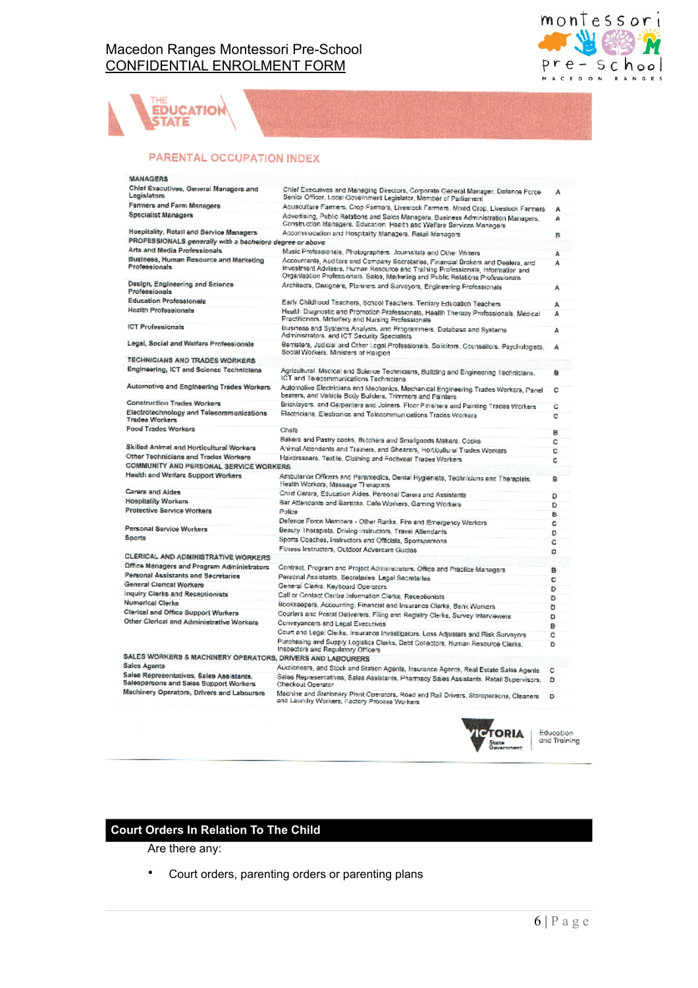

# EDUCATION **STATE**

### PARENTAL OCCUPATION INDEX

| MANAGERS                                                                                                                         |                                                                                                                                                                    |    |
|----------------------------------------------------------------------------------------------------------------------------------|--------------------------------------------------------------------------------------------------------------------------------------------------------------------|----|
| Chief Executives, General Managers and<br>Legislators                                                                            | Chief Executives and Managing Directors, Corporate General Manager, Dafance Force<br>Senior Officer, Local Government Legislator, Mamber of Parliament             | А  |
| Farmers and Farm Managers                                                                                                        | Acusculture Farmers, Crop Farmers, Livestock Farmers, Mixed Crop, Livestock Farmers                                                                                | А  |
| Specialist Managers                                                                                                              | Advertising, Public Relations and Sales Managers, Business Administration Managers,<br>Construction Managers, Education, Health and Welfare Services Managers      | А  |
| Hospitality, Rotall and Service Managers                                                                                         | Accommodation and Hospitality Managers, Retail Managers                                                                                                            | B  |
| PROFESSIONALS generally with a bachelors degree or above                                                                         |                                                                                                                                                                    |    |
| Arts and Media Professionals                                                                                                     | Music Professionals, Photographers, Journalists and Other Writers                                                                                                  | A  |
| Business, Human Resource and Marketing                                                                                           | Accountents, Auditors and Company Secretaries, Financial Brokers and Dealers, and                                                                                  | A  |
| Professionals                                                                                                                    | Investment Advisers, Human Resource and Training Professionals, Information and<br>Organisation Professionals, Sales, Marketing and Public Relations Professionals |    |
| Design, Engineering and Science<br>Professionals                                                                                 | Architects, Designers, Planners and Surveyors, Engineering Professionals                                                                                           |    |
| <b>Education Professionals</b>                                                                                                   | Early Childhood Teachers, School Teachers, Tertiary Education Teachers                                                                                             | Δ  |
| <b>Health Professionals</b>                                                                                                      | Health Diagnostic and Promotion Professionals, Health Therapy Professionals, Medical<br>Practitioners, Midwifery and Nursing Professionals.                        | A  |
| <b>ICT Professionals</b>                                                                                                         | Business and Systems Analysts, and Programmers, Database and Systems<br>Administrators, and ICT Security Specialists                                               | A  |
| Legal, Social and Welfare Professionals                                                                                          | Barristers, Judicial and Other Legal Professionals, Solicitors, Counsellors, Psychologists,<br>Social Workers, Ministers of Religion                               | А  |
| TECHNICIANS AND TRADES WORKERS                                                                                                   |                                                                                                                                                                    |    |
| Engineering, ICT and Science Technicians                                                                                         | Agricultural, Medical and Science Technicians, Building and Engineering Technicians,<br>ICT and Telecommunications Technicians                                     | ×. |
| Automotive and Engineering Trades Workers                                                                                        | Automolive Electricians and Mechanics, Mechanical Engineering Trades Workers, Panel<br>beaters, and Vehicle Body Builders, Trimmers and Painters                   | c  |
| <b>Construction Trades Workers</b>                                                                                               | Bricklayers, and Carpenters and Joiners. Floor Finishers and Painting Trades Workers                                                                               | c  |
| Electrotechnology and Telecommunications<br><b>Trades Workers</b>                                                                | Electricians, Electronics and Telecommunications Trades Workers                                                                                                    | c  |
| Food Trades Workers                                                                                                              | Chafs                                                                                                                                                              | в  |
|                                                                                                                                  | Bakers and Pastry cooks, Butchers and Smallgoods Makers, Cooks                                                                                                     | ċ  |
| Skilled Animal and Horticultural Workers                                                                                         | Animal Attendants and Trainers, and Shearers, Horticultural Trades Workers                                                                                         | ċ  |
| Other Technicians and Trades Workers                                                                                             | Hairdressers, Textile, Clothing and Footwear Trades Workers                                                                                                        | ċ  |
| COMMUNITY AND PERSONAL SERVICE WORKERS                                                                                           |                                                                                                                                                                    |    |
| Health and Welfare Support Workers                                                                                               | Ambularce Officers and Paramedics, Dental Hygienists, Technicians and Therapists,<br>Health Workers, Massage Therapists                                            | в  |
| <b>Carers and Aides</b>                                                                                                          | Child Carera, Education Aides, Personal Carers and Assistants                                                                                                      | Đ  |
| <b>Hospitality Workers</b>                                                                                                       | Bar Attendants and Baristas, Cafe Workers, Gaming Workers                                                                                                          | D  |
| Protective Service Workers                                                                                                       | Police                                                                                                                                                             | в  |
|                                                                                                                                  | Defence Force Members - Other Ranks, Fire and Emergency Workcrs                                                                                                    | c  |
| Personal Service Workers                                                                                                         | Beauty Therapists, Driving Instructors, Travel Attendants                                                                                                          | D  |
| <b>Sports</b>                                                                                                                    | Sports Coaches, Instructors and Officials, Sportsparsons.                                                                                                          | c  |
|                                                                                                                                  | Fitness Instructors, Outdoor Adventure Guides                                                                                                                      | ۰  |
| CLERICAL AND ADMINISTRATIVE WORKERS                                                                                              |                                                                                                                                                                    |    |
| Office Managers and Program Administrators                                                                                       | Contract, Program and Project Administrators, Office and Practice Managers                                                                                         | Е  |
| Personal Assistants and Secretaries                                                                                              | Personal Assistants, Secretaries, Legal Secretaries                                                                                                                | c  |
| General Clerical Workers                                                                                                         | General Clerks, Keyboard Operators                                                                                                                                 | D  |
| inquiry Clerks and Receptionists                                                                                                 | Call or Contact Centre Information Clerks, Receptionists                                                                                                           | D  |
| Numerical Clerks                                                                                                                 | Bookkeepers, Accounting, Financial and Insurance Clerke, Bank Workers                                                                                              | D  |
| Clerical and Office Support Workers                                                                                              | Couriers and Postal Deliverers, Filing and Registry Clerks, Survey Interviewers                                                                                    | D  |
| Other Clerical and Administrative Workers                                                                                        | Conveyancers and Legal Executives                                                                                                                                  | B  |
|                                                                                                                                  | Court and Legal Clerks, Insurance Investigators, Loss Adjusters and Risk Survayors                                                                                 | ċ  |
|                                                                                                                                  | Purchasing and Supply Logistics Clerks, Debt Collectors, Human Resource Clerks,<br>Inspectors and Regulatory Officers                                              | ö  |
| SALES WORKERS & MACHINERY OPERATORS, DRIVERS AND LABOURERS                                                                       |                                                                                                                                                                    |    |
| Sales Agenta                                                                                                                     | Auctioneers, and Stock and Station Agents, Insurance Agente, Real Estate Salas Agents                                                                              | c  |
| Sales Representativos. Sales Assistants.<br>Salespersons and Sales Support Workers<br>Machinery Operators, Drivers and Labourars | Sales Representativas, Sales Assistants, Pharmacy Sales Assistants, Ratall Supervisors,<br>Checkout Operator                                                       | ۰  |
|                                                                                                                                  | Machine and Stationary Plant Operators, Road and Rail Drivers, Storoparaona, Cleaners                                                                              | D  |



## Education<br>and Training

### **Court Orders In Relation To The Child**

Are there any:

• Court orders, parenting orders or parenting plans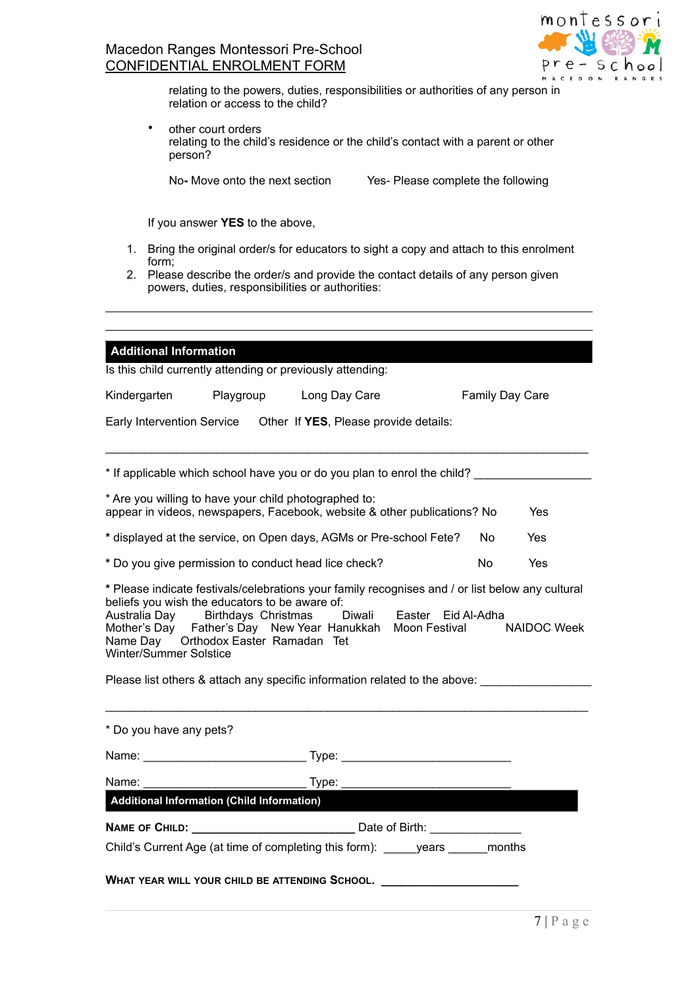

relating to the powers, duties, responsibilities or authorities of any person in relation or access to the child?

• other court orders relating to the child's residence or the child's contact with a parent or other person?

No**-** Move onto the next sectionYes- Please complete the following

If you answer **YES** to the above,

- 1. Bring the original order/s for educators to sight a copy and attach to this enrolment form;
- 2. Please describe the order/s and provide the contact details of any person given powers, duties, responsibilities or authorities:

| <b>Additional Information</b> |                                                                                                                              | Is this child currently attending or previously attending:                                                                                                                                                                                            |                    |                 |                    |
|-------------------------------|------------------------------------------------------------------------------------------------------------------------------|-------------------------------------------------------------------------------------------------------------------------------------------------------------------------------------------------------------------------------------------------------|--------------------|-----------------|--------------------|
| Kindergarten                  |                                                                                                                              | Playgroup Long Day Care                                                                                                                                                                                                                               |                    | Family Day Care |                    |
|                               |                                                                                                                              | Early Intervention Service  Other If YES, Please provide details:                                                                                                                                                                                     |                    |                 |                    |
|                               |                                                                                                                              | * If applicable which school have you or do you plan to enrol the child?                                                                                                                                                                              |                    |                 |                    |
|                               |                                                                                                                              | * Are you willing to have your child photographed to:<br>appear in videos, newspapers, Facebook, website & other publications? No                                                                                                                     |                    |                 | Yes                |
|                               |                                                                                                                              | * displayed at the service, on Open days, AGMs or Pre-school Fete?                                                                                                                                                                                    |                    | No.             | Yes                |
|                               |                                                                                                                              | * Do you give permission to conduct head lice check?                                                                                                                                                                                                  |                    | <b>No</b>       | Yes                |
| Winter/Summer Solstice        | beliefs you wish the educators to be aware of:<br>Australia Day Birthdays Christmas<br>Name Day  Orthodox Easter Ramadan Tet | * Please indicate festivals/celebrations your family recognises and / or list below any cultural<br>Diwali<br>Mother's Day Father's Day New Year Hanukkah Moon Festival<br>Please list others & attach any specific information related to the above: | Easter Eid Al-Adha |                 | <b>NAIDOC Week</b> |
| * Do you have any pets?       |                                                                                                                              |                                                                                                                                                                                                                                                       |                    |                 |                    |
|                               |                                                                                                                              |                                                                                                                                                                                                                                                       |                    |                 |                    |
| Name: <b>Management</b>       |                                                                                                                              |                                                                                                                                                                                                                                                       |                    |                 |                    |
|                               | <b>Additional Information (Child Information)</b>                                                                            |                                                                                                                                                                                                                                                       |                    |                 |                    |
|                               |                                                                                                                              | NAME OF CHILD: Date of Birth:                                                                                                                                                                                                                         |                    |                 |                    |
|                               |                                                                                                                              | Child's Current Age (at time of completing this form): years months                                                                                                                                                                                   |                    |                 |                    |
|                               |                                                                                                                              | WHAT YEAR WILL YOUR CHILD BE ATTENDING SCHOOL. _________________________________                                                                                                                                                                      |                    |                 |                    |
|                               |                                                                                                                              |                                                                                                                                                                                                                                                       |                    |                 | $-1$ $\sqrt{2}$    |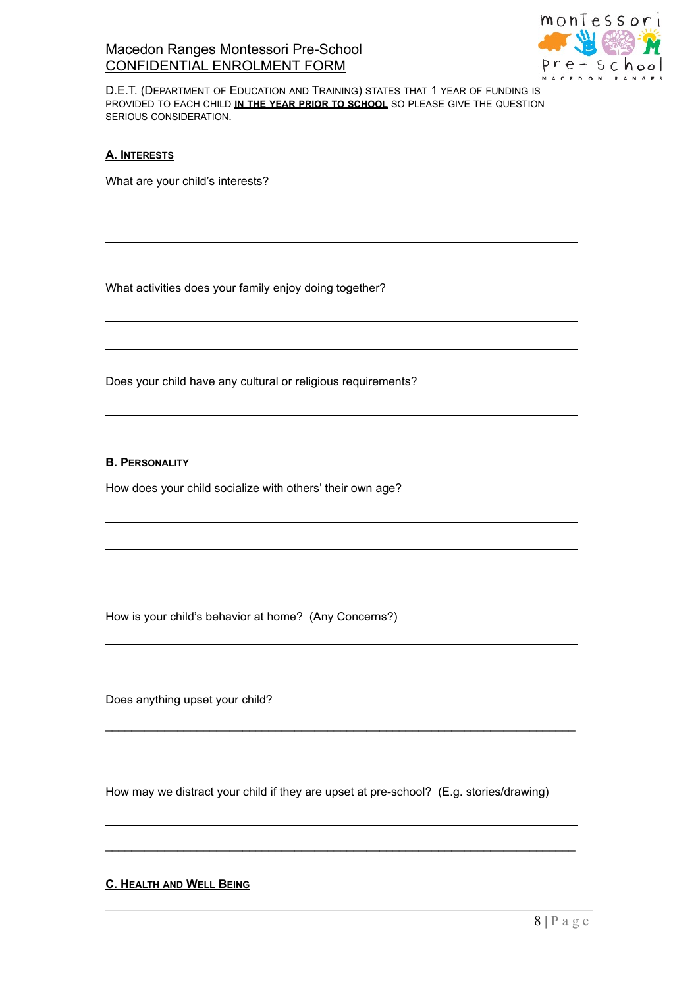

D.E.T. (DEPARTMENT OF EDUCATION AND TRAINING) STATES THAT 1 YEAR OF FUNDING IS PROVIDED TO EACH CHILD **IN THE YEAR PRIOR TO SCHOOL** SO PLEASE GIVE THE QUESTION SERIOUS CONSIDERATION.

### **A. INTERESTS**

What are your child's interests?

What activities does your family enjoy doing together?

Does your child have any cultural or religious requirements?

**B. PERSONALITY**

How does your child socialize with others' their own age?

How is your child's behavior at home? (Any Concerns?)

Does anything upset your child?

How may we distract your child if they are upset at pre-school? (E.g. stories/drawing)

 $\mathcal{L}_\text{max}$  , and the contribution of the contribution of the contribution of the contribution of the contribution of the contribution of the contribution of the contribution of the contribution of the contribution of t

 $\mathcal{L}_\text{max}$  , and the contribution of the contribution of the contribution of the contribution of the contribution of the contribution of the contribution of the contribution of the contribution of the contribution of t

**C. HEALTH AND WELL BEING**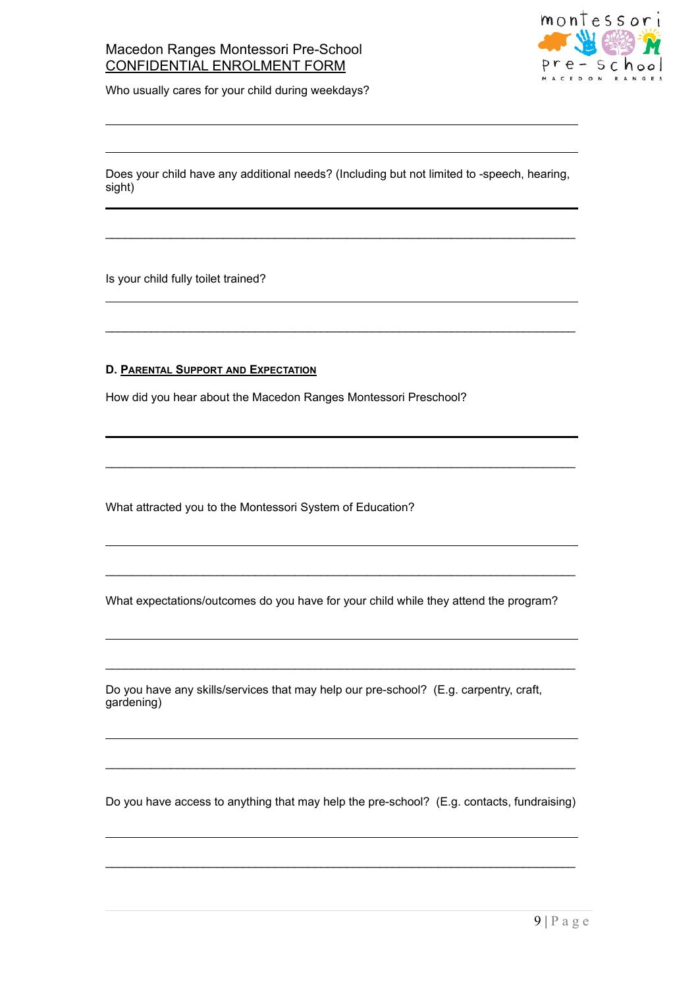

Who usually cares for your child during weekdays?

Does your child have any additional needs? (Including but not limited to -speech, hearing, sight)

 $\mathcal{L}_\text{max}$  , and the contribution of the contribution of the contribution of the contribution of the contribution of the contribution of the contribution of the contribution of the contribution of the contribution of t

 $\mathcal{L}_\text{max}$  , and the contribution of the contribution of the contribution of the contribution of the contribution of the contribution of the contribution of the contribution of the contribution of the contribution of t

 $\mathcal{L}_\text{max}$  , and the contribution of the contribution of the contribution of the contribution of the contribution of the contribution of the contribution of the contribution of the contribution of the contribution of t

Is your child fully toilet trained?

### **D. PARENTAL SUPPORT AND EXPECTATION**

How did you hear about the Macedon Ranges Montessori Preschool?

What attracted you to the Montessori System of Education?

What expectations/outcomes do you have for your child while they attend the program?

 $\mathcal{L}_\text{max}$  , and the set of the set of the set of the set of the set of the set of the set of the set of the set of the set of the set of the set of the set of the set of the set of the set of the set of the set of the

 $\mathcal{L}_\text{max}$  , and the contribution of the contribution of the contribution of the contribution of the contribution of the contribution of the contribution of the contribution of the contribution of the contribution of t

Do you have any skills/services that may help our pre-school? (E.g. carpentry, craft, gardening)

Do you have access to anything that may help the pre-school? (E.g. contacts, fundraising)

 $\mathcal{L}_\text{max}$  , and the set of the set of the set of the set of the set of the set of the set of the set of the set of the set of the set of the set of the set of the set of the set of the set of the set of the set of the

 $\mathcal{L}_\text{max}$  , and the contribution of the contribution of the contribution of the contribution of the contribution of the contribution of the contribution of the contribution of the contribution of the contribution of t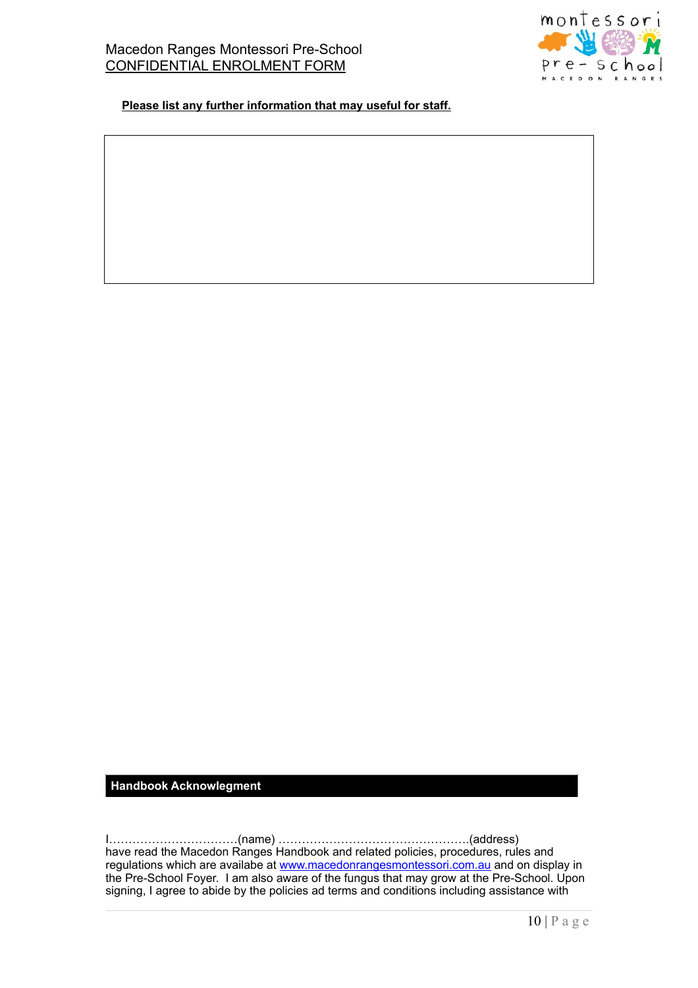

 **Please list any further information that may useful for staff.**

#### **Handbook Acknowlegment**

I……………………………(name) ………………………………………….(address) have read the Macedon Ranges Handbook and related policies, procedures, rules and regulations which are availabe at [www.macedonrangesmontessori.com.au](http://www.macedonrangesmontessori.com.au) and on display in the Pre-School Foyer. I am also aware of the fungus that may grow at the Pre-School. Upon signing, I agree to abide by the policies ad terms and conditions including assistance with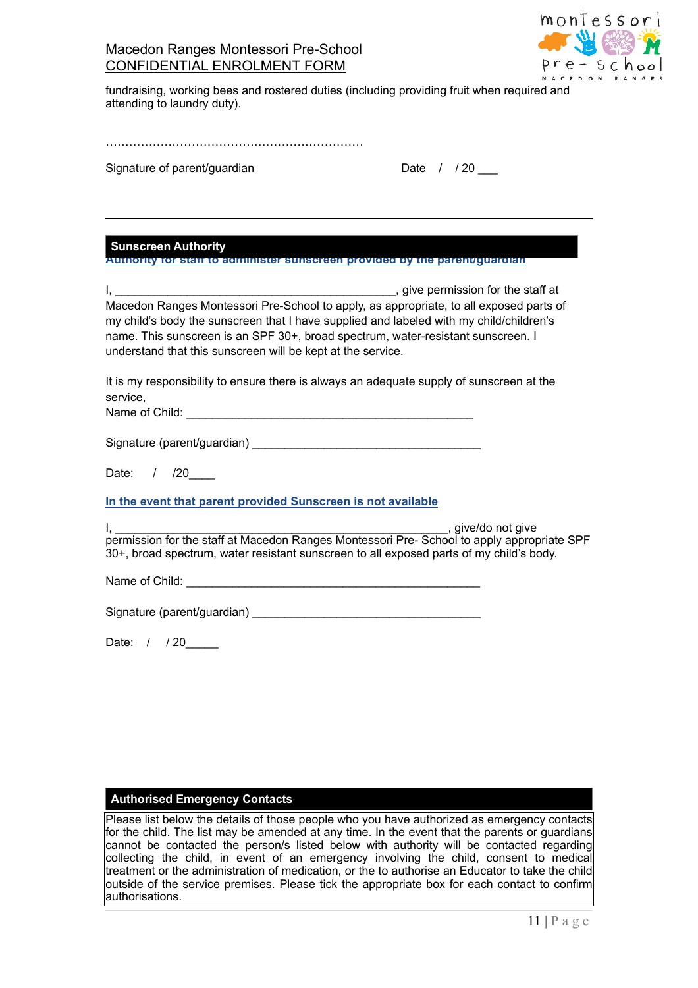

fundraising, working bees and rostered duties (including providing fruit when required and attending to laundry duty).

Signature of parent/guardian

| Date |  | /20 |  |
|------|--|-----|--|
|------|--|-----|--|

**Sunscreen Authority**

**Authority for staff to administer sunscreen provided by the parent/guardian**

I, \_\_\_\_\_\_\_\_\_\_\_\_\_\_\_\_\_\_\_\_\_\_\_\_\_\_\_\_\_\_\_\_\_\_\_\_\_\_\_\_\_\_\_, give permission for the staff at Macedon Ranges Montessori Pre-School to apply, as appropriate, to all exposed parts of my child's body the sunscreen that I have supplied and labeled with my child/children's name. This sunscreen is an SPF 30+, broad spectrum, water-resistant sunscreen. I understand that this sunscreen will be kept at the service.

It is my responsibility to ensure there is always an adequate supply of sunscreen at the service,

Name of Child:  $\qquad \qquad \qquad \qquad \qquad$ 

Signature (parent/guardian)

Date: / /20

**In the event that parent provided Sunscreen is not available** 

I, \_\_\_\_\_\_\_\_\_\_\_\_\_\_\_\_\_\_\_\_\_\_\_\_\_\_\_\_\_\_\_\_\_\_\_\_\_\_\_\_\_\_\_\_\_\_\_\_\_\_\_, give/do not give permission for the staff at Macedon Ranges Montessori Pre- School to apply appropriate SPF 30+, broad spectrum, water resistant sunscreen to all exposed parts of my child's body.

Name of Child: \_\_\_\_\_\_\_\_\_\_\_\_\_\_\_\_\_\_\_\_\_\_\_\_\_\_\_\_\_\_\_\_\_\_\_\_\_\_\_\_\_\_\_\_\_

Signature (parent/guardian)

Date: / / 20

### **Authorised Emergency Contacts**

Please list below the details of those people who you have authorized as emergency contacts for the child. The list may be amended at any time. In the event that the parents or guardians cannot be contacted the person/s listed below with authority will be contacted regarding collecting the child, in event of an emergency involving the child, consent to medical treatment or the administration of medication, or the to authorise an Educator to take the child outside of the service premises. Please tick the appropriate box for each contact to confirm authorisations.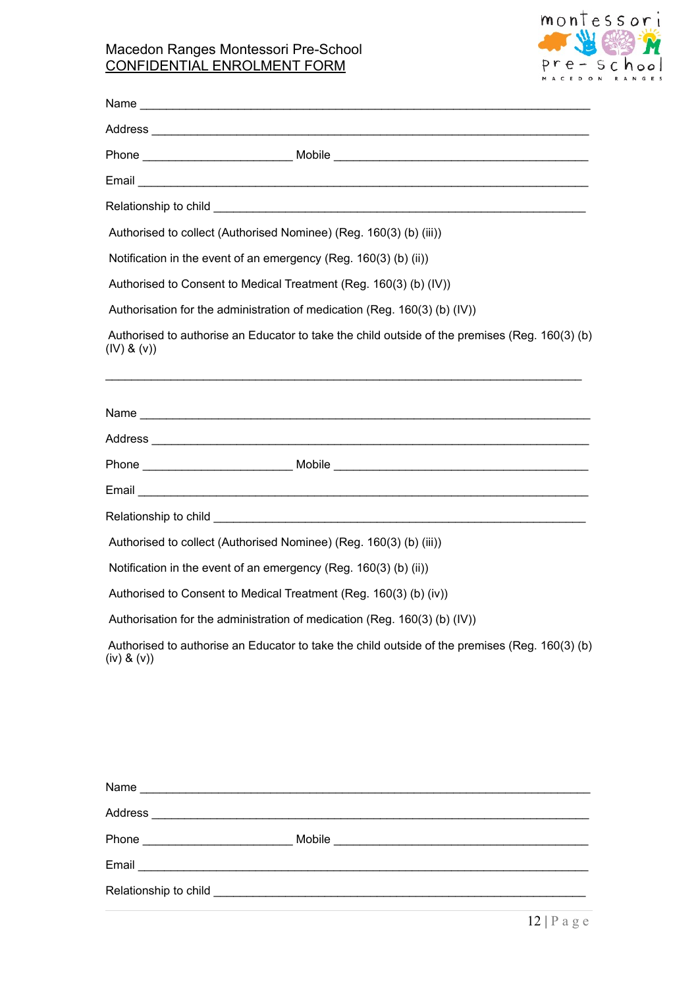

| Phone ___________________________________Mobile _________________________________                             |
|---------------------------------------------------------------------------------------------------------------|
|                                                                                                               |
|                                                                                                               |
| Authorised to collect (Authorised Nominee) (Reg. 160(3) (b) (iii))                                            |
| Notification in the event of an emergency (Reg. 160(3) (b) (ii))                                              |
| Authorised to Consent to Medical Treatment (Reg. 160(3) (b) (IV))                                             |
| Authorisation for the administration of medication (Reg. 160(3) (b) (IV))                                     |
| Authorised to authorise an Educator to take the child outside of the premises (Reg. 160(3) (b)<br>(IV) 8 (V)  |
| Address entertainment and the contract of the contract of the contract of the contract of the contract of the |
|                                                                                                               |
|                                                                                                               |
|                                                                                                               |
| Authorised to collect (Authorised Nominee) (Reg. 160(3) (b) (iii))                                            |
| Notification in the event of an emergency (Reg. 160(3) (b) (ii))                                              |
| Authorised to Consent to Medical Treatment (Reg. 160(3) (b) (iv))                                             |
| Authorisation for the administration of medication (Reg. 160(3) (b) (IV))                                     |
| Authorised to authorise an Educator to take the child outside of the premises (Reg. 160(3) (b)<br>(iv) 8 (v)  |

| Name<br><u> 1980 - Jan Barnett, mars et al. 1980 - Ann an Indian Amerikaanse kommunister (</u> |        |
|------------------------------------------------------------------------------------------------|--------|
|                                                                                                |        |
| Phone<br><u> 1989 - Johann Barbara, martxa al</u>                                              | Mobile |
| Email                                                                                          |        |
|                                                                                                |        |
|                                                                                                |        |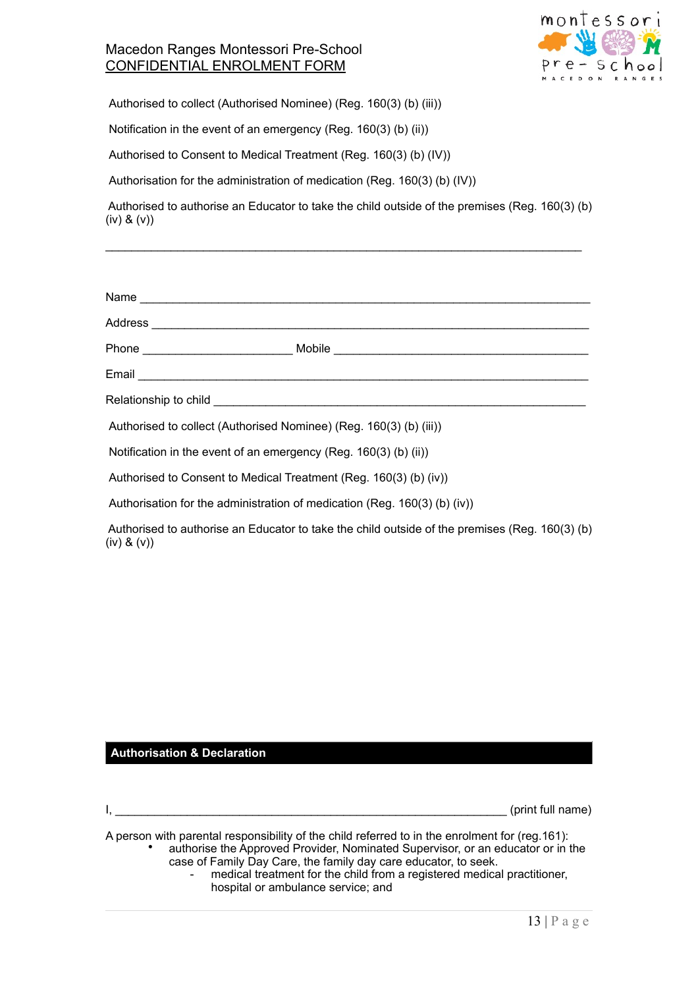

Authorised to collect (Authorised Nominee) (Reg. 160(3) (b) (iii))

Notification in the event of an emergency (Reg. 160(3) (b) (ii))

Authorised to Consent to Medical Treatment (Reg. 160(3) (b) (IV))

Authorisation for the administration of medication (Reg. 160(3) (b) (IV))

 Authorised to authorise an Educator to take the child outside of the premises (Reg. 160(3) (b) (iv) & (v))

 $\mathcal{L}_\text{max}$  , and the set of the set of the set of the set of the set of the set of the set of the set of the set of the set of the set of the set of the set of the set of the set of the set of the set of the set of the

| Authorised to collect (Authorised Nominee) (Reg. 160(3) (b) (iii))                                                 |
|--------------------------------------------------------------------------------------------------------------------|
| Notification in the event of an emergency (Reg. 160(3) (b) (ii))                                                   |
| Authorised to Consent to Medical Treatment (Reg. 160(3) (b) (iv))                                                  |
| Authorisation for the administration of medication (Reg. 160(3) (b) (iv))                                          |
| Authorised to authorise an Educator to take the child outside of the premises (Reg. 160(3) (b)<br>$(iv)$ & $(v)$ ) |

### **Authorisation & Declaration**

 $I,$   $(print$  full name)

A person with parental responsibility of the child referred to in the enrolment for (reg.161):

• authorise the Approved Provider, Nominated Supervisor, or an educator or in the case of Family Day Care, the family day care educator, to seek.

medical treatment for the child from a registered medical practitioner, hospital or ambulance service; and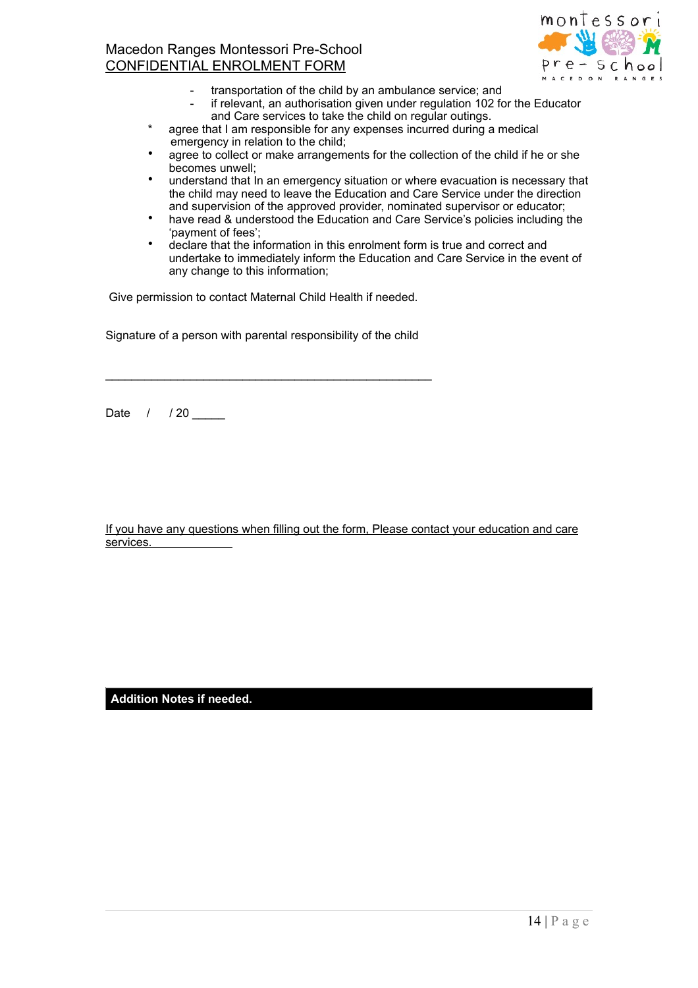

- transportation of the child by an ambulance service; and
	- if relevant, an authorisation given under regulation 102 for the Educator and Care services to take the child on regular outings.
- agree that I am responsible for any expenses incurred during a medical emergency in relation to the child;
- agree to collect or make arrangements for the collection of the child if he or she becomes unwell;
- understand that In an emergency situation or where evacuation is necessary that the child may need to leave the Education and Care Service under the direction and supervision of the approved provider, nominated supervisor or educator;
- have read & understood the Education and Care Service's policies including the 'payment of fees';
- declare that the information in this enrolment form is true and correct and undertake to immediately inform the Education and Care Service in the event of any change to this information;

Give permission to contact Maternal Child Health if needed.

Signature of a person with parental responsibility of the child

\_\_\_\_\_\_\_\_\_\_\_\_\_\_\_\_\_\_\_\_\_\_\_\_\_\_\_\_\_\_\_\_\_\_\_\_\_\_\_\_\_\_\_\_\_\_\_\_\_\_

Date / / 20 \_\_\_\_\_

If you have any questions when filling out the form, Please contact your education and care services.

**Addition Notes if needed.**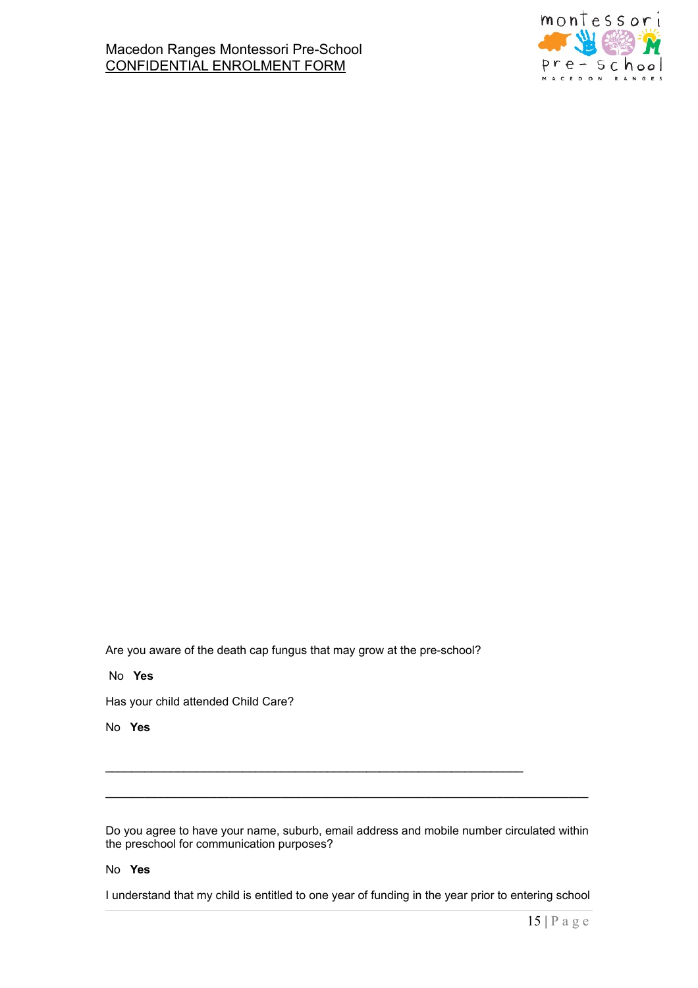

Are you aware of the death cap fungus that may grow at the pre-school?

\_\_\_\_\_\_\_\_\_\_\_\_\_\_\_\_\_\_\_\_\_\_\_\_\_\_\_\_\_\_\_\_\_\_\_\_\_\_\_\_\_\_\_\_\_\_\_\_\_\_\_\_\_\_\_\_\_\_\_\_\_\_\_\_

### No **Yes**

Has your child attended Child Care?

### No **Yes**

Do you agree to have your name, suburb, email address and mobile number circulated within the preschool for communication purposes?

**\_\_\_\_\_\_\_\_\_\_\_\_\_\_\_\_\_\_\_\_\_\_\_\_\_\_\_\_\_\_\_\_\_\_\_\_\_\_\_\_\_\_\_\_\_\_\_\_\_\_\_\_\_\_\_\_\_\_\_\_\_\_\_\_\_\_\_\_\_\_\_\_\_\_**

#### No **Yes**

I understand that my child is entitled to one year of funding in the year prior to entering school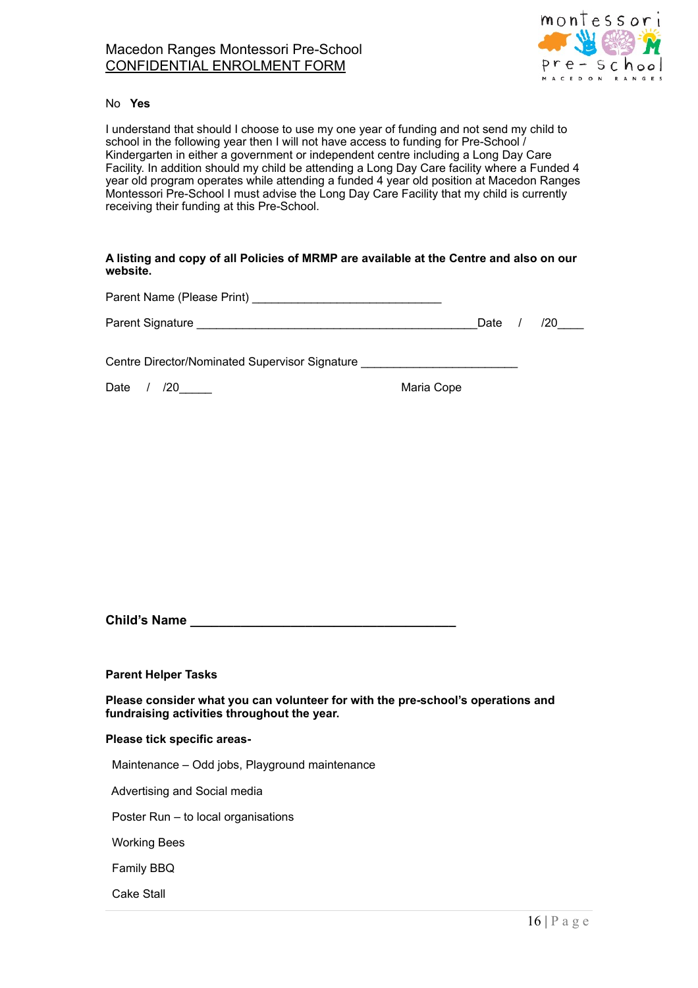

#### No **Yes**

I understand that should I choose to use my one year of funding and not send my child to school in the following year then I will not have access to funding for Pre-School / Kindergarten in either a government or independent centre including a Long Day Care Facility. In addition should my child be attending a Long Day Care facility where a Funded 4 year old program operates while attending a funded 4 year old position at Macedon Ranges Montessori Pre-School I must advise the Long Day Care Facility that my child is currently receiving their funding at this Pre-School.

### **A listing and copy of all Policies of MRMP are available at the Centre and also on our website.**

Parent Name (Please Print) \_\_\_\_\_\_\_\_\_\_\_\_\_\_\_\_\_\_\_\_\_\_\_\_\_\_\_\_\_

| Parent Signature |  | Date |  |  |
|------------------|--|------|--|--|
|------------------|--|------|--|--|

Centre Director/Nominated Supervisor Signature \_\_\_\_\_\_\_\_\_\_\_\_\_\_\_\_\_\_\_\_\_\_\_\_\_\_\_\_\_\_\_\_\_

Date / /20 Maria Cope

**Child's Name Child's Name** 

**Parent Helper Tasks** 

**Please consider what you can volunteer for with the pre-school's operations and fundraising activities throughout the year.** 

#### **Please tick specific areas-**

Maintenance – Odd jobs, Playground maintenance

Advertising and Social media

Poster Run – to local organisations

Working Bees

Family BBQ

Cake Stall